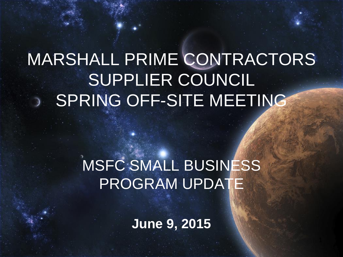# MARSHALL PRIME CONTRACTORS SUPPLIER COUNCIL SPRING OFF-SITE MEETING

# MSFC SMALL BUSINESS PROGRAM UPDATE

**June 9, 2015**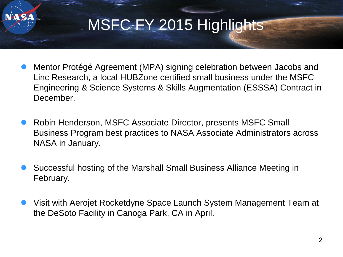

- Mentor Protégé Agreement (MPA) signing celebration between Jacobs and Linc Research, a local HUBZone certified small business under the MSFC Engineering & Science Systems & Skills Augmentation (ESSSA) Contract in December.
- Robin Henderson, MSFC Associate Director, presents MSFC Small Business Program best practices to NASA Associate Administrators across NASA in January.
- Successful hosting of the Marshall Small Business Alliance Meeting in February.
- Visit with Aerojet Rocketdyne Space Launch System Management Team at the DeSoto Facility in Canoga Park, CA in April.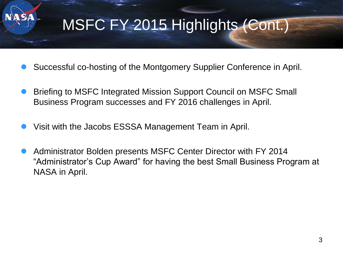# MSFC FY 2015 Highlights (Cont.)

- Successful co-hosting of the Montgomery Supplier Conference in April.
- Briefing to MSFC Integrated Mission Support Council on MSFC Small Business Program successes and FY 2016 challenges in April.
- Visit with the Jacobs ESSSA Management Team in April.
- Administrator Bolden presents MSFC Center Director with FY 2014 "Administrator's Cup Award" for having the best Small Business Program at NASA in April.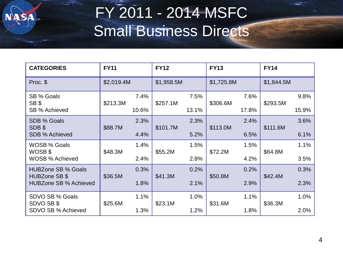# FY 2011 - 2014 MSFC Small Business Directs

| <b>CATEGORIES</b>                             | <b>FY11</b> |       | <b>FY12</b> |       | <b>FY13</b> |       | <b>FY14</b> |       |
|-----------------------------------------------|-------------|-------|-------------|-------|-------------|-------|-------------|-------|
| Proc. \$                                      | \$2,019.4M  |       | \$1,958.5M  |       | \$1,725.8M  |       | \$1,844.5M  |       |
| SB % Goals<br>SB \$                           | \$213.3M    | 7.4%  | \$257.1M    | 7.5%  | \$306.6M    | 7.6%  | \$293.5M    | 9.8%  |
| SB % Achieved                                 |             | 10.6% |             | 13.1% |             | 17.8% |             | 15.9% |
| SDB % Goals<br>SDB\$                          | \$88.7M     | 2.3%  | \$101.7M    | 2.3%  | \$113.0M    | 2.4%  | \$111.6M    | 3.6%  |
| <b>SDB % Achieved</b>                         |             | 4.4%  |             | 5.2%  |             | 6.5%  |             | 6.1%  |
| <b>WOSB % Goals</b>                           |             | 1.4%  |             | 1.5%  |             | 1.5%  |             | 1.1%  |
| WOSB \$<br><b>WOSB % Achieved</b>             | \$48.3M     | 2.4%  | \$55.2M     | 2.8%  | \$72.2M     | 4.2%  | \$64.8M     | 3.5%  |
| <b>HUBZone SB % Goals</b>                     |             | 0.3%  |             | 0.2%  |             | 0.2%  |             | 0.3%  |
| HUBZone SB \$<br><b>HUBZone SB % Achieved</b> | \$36.5M     | 1.8%  | \$41.3M     | 2.1%  | \$50.8M     | 2.9%  | \$42.4M     | 2.3%  |
| SDVO SB % Goals                               |             | 1.1%  |             | 1.0%  |             | 1.1%  |             | 1.0%  |
| SDVO SB \$<br>SDVO SB % Achieved              | \$25.6M     | 1.3%  | \$23.1M     | 1.2%  | \$31.6M     | 1.8%  | \$36.3M     | 2.0%  |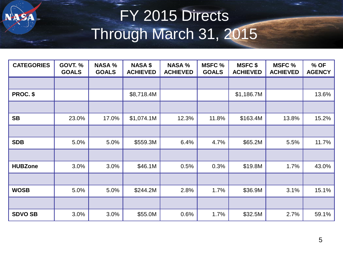# FY 2015 Directs Through March 31, 2015

| <b>CATEGORIES</b> | <b>GOVT. %</b><br><b>GOALS</b> | <b>NASA %</b><br><b>GOALS</b> | <b>NASA \$</b><br><b>ACHIEVED</b> | <b>NASA %</b><br><b>ACHIEVED</b> | <b>MSFC %</b><br><b>GOALS</b> | <b>MSFC \$</b><br><b>ACHIEVED</b> | <b>MSFC %</b><br><b>ACHIEVED</b> | % OF<br><b>AGENCY</b> |
|-------------------|--------------------------------|-------------------------------|-----------------------------------|----------------------------------|-------------------------------|-----------------------------------|----------------------------------|-----------------------|
|                   |                                |                               |                                   |                                  |                               |                                   |                                  |                       |
| PROC. \$          |                                |                               | \$8,718.4M                        |                                  |                               | \$1,186.7M                        |                                  | 13.6%                 |
|                   |                                |                               |                                   |                                  |                               |                                   |                                  |                       |
| <b>SB</b>         | 23.0%                          | 17.0%                         | \$1,074.1M                        | 12.3%                            | 11.8%                         | \$163.4M                          | 13.8%                            | 15.2%                 |
|                   |                                |                               |                                   |                                  |                               |                                   |                                  |                       |
| <b>SDB</b>        | 5.0%                           | 5.0%                          | \$559.3M                          | 6.4%                             | 4.7%                          | \$65.2M                           | 5.5%                             | 11.7%                 |
|                   |                                |                               |                                   |                                  |                               |                                   |                                  |                       |
| <b>HUBZone</b>    | 3.0%                           | 3.0%                          | \$46.1M                           | 0.5%                             | 0.3%                          | \$19.8M                           | 1.7%                             | 43.0%                 |
|                   |                                |                               |                                   |                                  |                               |                                   |                                  |                       |
| <b>WOSB</b>       | 5.0%                           | 5.0%                          | \$244.2M                          | 2.8%                             | 1.7%                          | \$36.9M                           | 3.1%                             | 15.1%                 |
|                   |                                |                               |                                   |                                  |                               |                                   |                                  |                       |
| <b>SDVO SB</b>    | 3.0%                           | 3.0%                          | \$55.0M                           | 0.6%                             | 1.7%                          | \$32.5M                           | 2.7%                             | 59.1%                 |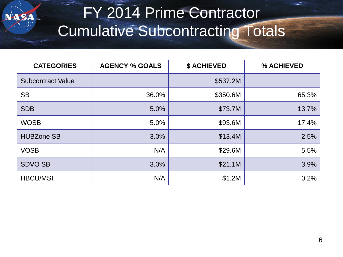# FY 2014 Prime Contractor Cumulative Subcontracting Totals

| <b>CATEGORIES</b>        | <b>AGENCY % GOALS</b> | <b>\$ ACHIEVED</b> | % ACHIEVED |
|--------------------------|-----------------------|--------------------|------------|
| <b>Subcontract Value</b> |                       | \$537.2M           |            |
| <b>SB</b>                | 36.0%                 | \$350.6M           | 65.3%      |
| <b>SDB</b>               | 5.0%                  | \$73.7M            | 13.7%      |
| <b>WOSB</b>              | 5.0%                  | \$93.6M            | 17.4%      |
| <b>HUBZone SB</b>        | 3.0%                  | \$13.4M            | 2.5%       |
| <b>VOSB</b>              | N/A                   | \$29.6M            | 5.5%       |
| <b>SDVO SB</b>           | 3.0%                  | \$21.1M            | 3.9%       |
| <b>HBCU/MSI</b>          | N/A                   | \$1.2M             | 0.2%       |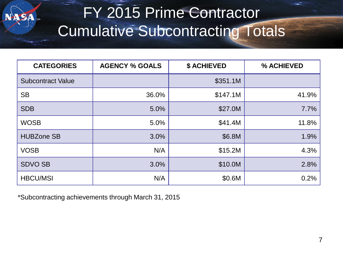# FY 2015 Prime Contractor Cumulative Subcontracting Totals

| <b>CATEGORIES</b>        | <b>AGENCY % GOALS</b> | <b>\$ ACHIEVED</b> | % ACHIEVED |
|--------------------------|-----------------------|--------------------|------------|
| <b>Subcontract Value</b> |                       | \$351.1M           |            |
| <b>SB</b>                | 36.0%                 | \$147.1M           | 41.9%      |
| <b>SDB</b>               | 5.0%                  | \$27.0M            | 7.7%       |
| <b>WOSB</b>              | 5.0%                  | \$41.4M            | 11.8%      |
| <b>HUBZone SB</b>        | 3.0%                  | \$6.8M             | 1.9%       |
| <b>VOSB</b>              | N/A                   | \$15.2M            | 4.3%       |
| <b>SDVO SB</b>           | 3.0%                  | \$10.0M            | 2.8%       |
| <b>HBCU/MSI</b>          | N/A                   | \$0.6M             | 0.2%       |

\*Subcontracting achievements through March 31, 2015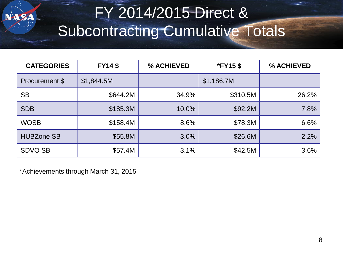# FY 2014/2015 Direct & Subcontracting Cumulative Totals

| <b>CATEGORIES</b> | <b>FY14\$</b> | % ACHIEVED<br><b>*FY15\$</b> |            | % ACHIEVED |
|-------------------|---------------|------------------------------|------------|------------|
| Procurement \$    | \$1,844.5M    |                              | \$1,186.7M |            |
| <b>SB</b>         | \$644.2M      | 34.9%                        | \$310.5M   | 26.2%      |
| <b>SDB</b>        | \$185.3M      | 10.0%                        | \$92.2M    | 7.8%       |
| <b>WOSB</b>       | \$158.4M      | 8.6%                         | \$78.3M    | 6.6%       |
| <b>HUBZone SB</b> | \$55.8M       | 3.0%                         | \$26.6M    | 2.2%       |
| <b>SDVO SB</b>    | \$57.4M       | 3.1%                         | \$42.5M    | 3.6%       |

\*Achievements through March 31, 2015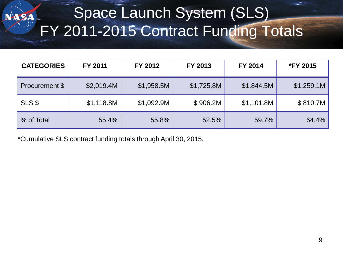# Space Launch System (SLS) FY 2011-2015 Contract Funding Totals

| <b>CATEGORIES</b> | FY 2011    | FY 2012    | FY 2013    | FY 2014    | <b>*FY 2015</b> |
|-------------------|------------|------------|------------|------------|-----------------|
| Procurement \$    | \$2,019.4M | \$1,958.5M | \$1,725.8M | \$1,844.5M | \$1,259.1M      |
| SLS\$             | \$1,118.8M | \$1,092.9M | \$906.2M   | \$1,101.8M | \$810.7M        |
| % of Total        | 55.4%      | 55.8%      | 52.5%      | 59.7%      | 64.4%           |

\*Cumulative SLS contract funding totals through April 30, 2015.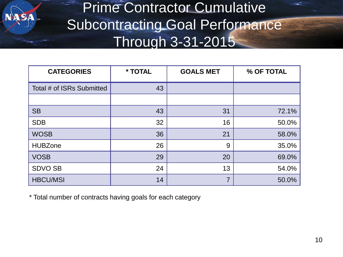#### Prime Contractor Cumulative Subcontracting Goal Performance Through 3-31-2015

| <b>CATEGORIES</b>         | * TOTAL | <b>GOALS MET</b> | % OF TOTAL |
|---------------------------|---------|------------------|------------|
| Total # of ISRs Submitted | 43      |                  |            |
|                           |         |                  |            |
| <b>SB</b>                 | 43      | 31               | 72.1%      |
| <b>SDB</b>                | 32      | 16               | 50.0%      |
| <b>WOSB</b>               | 36      | 21               | 58.0%      |
| <b>HUBZone</b>            | 26      | 9                | 35.0%      |
| <b>VOSB</b>               | 29      | 20               | 69.0%      |
| <b>SDVO SB</b>            | 24      | 13               | 54.0%      |
| <b>HBCU/MSI</b>           | 14      | $\overline{7}$   | 50.0%      |

\* Total number of contracts having goals for each category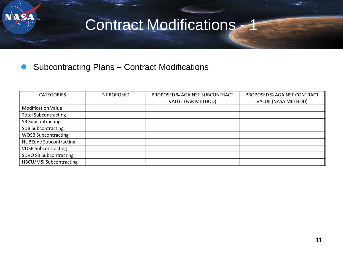

#### Contract Modifications - 1

#### Subcontracting Plans – Contract Modifications

| <b>CATEGORIES</b>              | \$ PROPOSED | PROPOSED % AGAINST SUBCONTRACT | PROPOSED % AGAINST CONTRACT |
|--------------------------------|-------------|--------------------------------|-----------------------------|
|                                |             | <b>VALUE (FAR METHOD)</b>      | <b>VALUE (NASA METHOD)</b>  |
| <b>Modification Value</b>      |             |                                |                             |
| <b>Total Subcontracting</b>    |             |                                |                             |
| SB Subcontracting              |             |                                |                             |
| <b>SDB Subcontracting</b>      |             |                                |                             |
| <b>WOSB Subcontracting</b>     |             |                                |                             |
| <b>HUBZone Subcontracting</b>  |             |                                |                             |
| <b>VOSB Subcontracting</b>     |             |                                |                             |
| SDVO SB Subcontracting         |             |                                |                             |
| <b>HBCU/MSI Subcontracting</b> |             |                                |                             |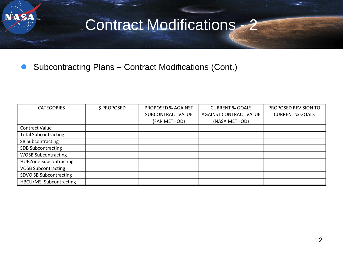

#### Contract Modifications - 2

Subcontracting Plans – Contract Modifications (Cont.)

| <b>CATEGORIES</b>              | \$ PROPOSED | <b>PROPOSED % AGAINST</b> | <b>CURRENT % GOALS</b>        | PROPOSED REVISION TO   |
|--------------------------------|-------------|---------------------------|-------------------------------|------------------------|
|                                |             | SUBCONTRACT VALUE         | <b>AGAINST CONTRACT VALUE</b> | <b>CURRENT % GOALS</b> |
|                                |             | (FAR METHOD)              | (NASA METHOD)                 |                        |
| <b>Contract Value</b>          |             |                           |                               |                        |
| <b>Total Subcontracting</b>    |             |                           |                               |                        |
| SB Subcontracting              |             |                           |                               |                        |
| <b>SDB Subcontracting</b>      |             |                           |                               |                        |
| <b>WOSB Subcontracting</b>     |             |                           |                               |                        |
| <b>HUBZone Subcontracting</b>  |             |                           |                               |                        |
| <b>VOSB Subcontracting</b>     |             |                           |                               |                        |
| SDVO SB Subcontracting         |             |                           |                               |                        |
| <b>HBCU/MSI Subcontracting</b> |             |                           |                               |                        |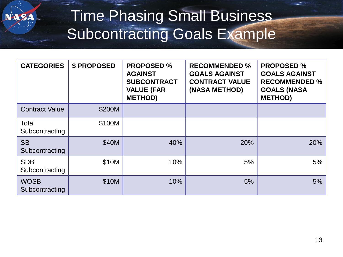

### Time Phasing Small Business Subcontracting Goals Example

| <b>CATEGORIES</b>             | \$ PROPOSED | <b>PROPOSED %</b><br><b>AGAINST</b><br><b>SUBCONTRACT</b><br><b>VALUE (FAR</b><br><b>METHOD)</b> | <b>RECOMMENDED %</b><br><b>GOALS AGAINST</b><br><b>CONTRACT VALUE</b><br>(NASA METHOD) | <b>PROPOSED %</b><br><b>GOALS AGAINST</b><br><b>RECOMMENDED %</b><br><b>GOALS (NASA</b><br><b>METHOD)</b> |
|-------------------------------|-------------|--------------------------------------------------------------------------------------------------|----------------------------------------------------------------------------------------|-----------------------------------------------------------------------------------------------------------|
| <b>Contract Value</b>         | \$200M      |                                                                                                  |                                                                                        |                                                                                                           |
| Total<br>Subcontracting       | \$100M      |                                                                                                  |                                                                                        |                                                                                                           |
| <b>SB</b><br>Subcontracting   | \$40M       | 40%                                                                                              | 20%                                                                                    | 20%                                                                                                       |
| <b>SDB</b><br>Subcontracting  | \$10M       | 10%                                                                                              | 5%                                                                                     | 5%                                                                                                        |
| <b>WOSB</b><br>Subcontracting | \$10M       | 10%                                                                                              | 5%                                                                                     | 5%                                                                                                        |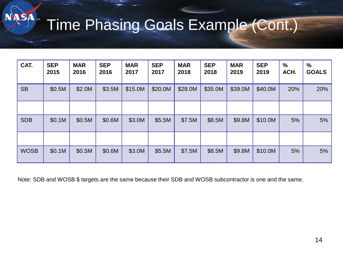### Time Phasing Goals Example (Cont.)

| CAT.        | <b>SEP</b><br>2015 | <b>MAR</b><br>2016 | <b>SEP</b><br>2016 | <b>MAR</b><br>2017 | <b>SEP</b><br>2017 | <b>MAR</b><br>2018 | <b>SEP</b><br>2018 | <b>MAR</b><br>2019 | <b>SEP</b><br>2019 | $\%$<br>ACH. | $\%$<br><b>GOALS</b> |
|-------------|--------------------|--------------------|--------------------|--------------------|--------------------|--------------------|--------------------|--------------------|--------------------|--------------|----------------------|
| <b>SB</b>   | \$0.5M             | \$2.0M             | \$3.5M             | \$15.0M            | \$20.0M            | \$28.0M            | \$35.0M            | \$39.0M            | \$40.0M            | 20%          | 20%                  |
|             |                    |                    |                    |                    |                    |                    |                    |                    |                    |              |                      |
| <b>SDB</b>  | \$0.1M             | \$0.5M             | \$0.6M             | \$3.0M             | \$5.5M             | \$7.5M             | \$8.5M             | \$9.8M             | \$10.0M            | 5%           | 5%                   |
|             |                    |                    |                    |                    |                    |                    |                    |                    |                    |              |                      |
| <b>WOSB</b> | \$0.1M             | \$0.5M             | \$0.6M             | \$3.0M             | \$5.5M             | \$7.5M             | \$8.5M             | \$9.8M             | \$10.0M            | 5%           | 5%                   |

Note: SDB and WOSB \$ targets are the same because their SDB and WOSB subcontractor is one and the same.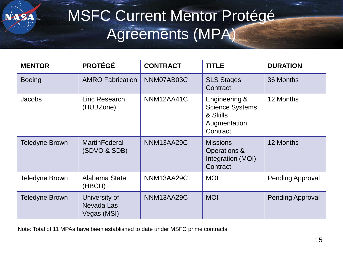

### MSFC Current Mentor Protégé Agreements (MPA)

| <b>MENTOR</b>         | <b>PROTÉGÉ</b>                             | <b>CONTRACT</b> | <b>TITLE</b>                                                                    | <b>DURATION</b>         |
|-----------------------|--------------------------------------------|-----------------|---------------------------------------------------------------------------------|-------------------------|
| <b>Boeing</b>         | <b>AMRO Fabrication</b>                    | NNM07AB03C      | <b>SLS Stages</b><br>Contract                                                   | 36 Months               |
| Jacobs                | Linc Research<br>(HUBZone)                 | NNM12AA41C      | Engineering &<br><b>Science Systems</b><br>& Skills<br>Augmentation<br>Contract | 12 Months               |
| <b>Teledyne Brown</b> | <b>MartinFederal</b><br>(SDVO & SDB)       | NNM13AA29C      | <b>Missions</b><br>Operations &<br>Integration (MOI)<br>Contract                | 12 Months               |
| <b>Teledyne Brown</b> | Alabama State<br>(HBCU)                    | NNM13AA29C      | <b>MOI</b>                                                                      | <b>Pending Approval</b> |
| <b>Teledyne Brown</b> | University of<br>Nevada Las<br>Vegas (MSI) | NNM13AA29C      | <b>MOI</b>                                                                      | <b>Pending Approval</b> |

Note: Total of 11 MPAs have been established to date under MSFC prime contracts.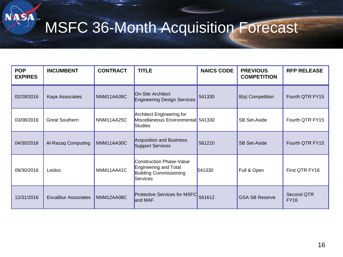# MSFC 36-Month Acquisition Forecast

NASA

| <b>POP</b><br><b>EXPIRES</b> | <b>INCUMBENT</b>            | <b>CONTRACT</b> | <b>TITLE</b>                                                                                   | <b>NAICS CODE</b> | <b>PREVIOUS</b><br><b>COMPETITION</b> | <b>RFP RELEASE</b>        |
|------------------------------|-----------------------------|-----------------|------------------------------------------------------------------------------------------------|-------------------|---------------------------------------|---------------------------|
| 02/29/2016                   | Kaya Associates             | NNM11AA39C      | On-Site Architect<br>Engineering Design Services                                               | 541330            | 8(a) Competition                      | Fourth QTR FY15           |
| 03/08/2016                   | <b>Great Southern</b>       | NNM11AA25C      | Architect Engineering for<br>Miscellaneous Environmental 541330<br><b>Studies</b>              |                   | <b>SB Set-Aside</b>                   | Fourth QTR FY15           |
| 04/30/2016                   | Al-Razaq Computing          | NNM11AA30C      | Acquisition and Business<br>Support Services                                                   | 561210            | <b>SB Set-Aside</b>                   | Fourth QTR FY15           |
| 09/30/2016                   | Leidos                      | NNM11AA41C      | Construction Phase-Value<br>Engineering and Total<br><b>Building Commissioning</b><br>Services | 541330            | Full & Open                           | First QTR FY16            |
| 12/31/2016                   | <b>Excalibur Associates</b> | NNM12AA08C      | <b>Protective Services for MSFC</b><br>and MAF                                                 | 561612            | <b>GSA SB Reserve</b>                 | Second QTR<br><b>FY16</b> |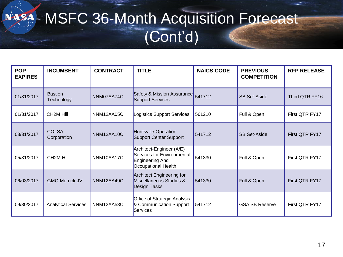#### MSFC 36-Month Acquisition Forecast NASA-(Cont'd)

| <b>POP</b><br><b>EXPIRES</b> | <b>INCUMBENT</b>             | <b>CONTRACT</b> | <b>TITLE</b>                                                                                     | <b>NAICS CODE</b> | <b>PREVIOUS</b><br><b>COMPETITION</b> | <b>RFP RELEASE</b> |
|------------------------------|------------------------------|-----------------|--------------------------------------------------------------------------------------------------|-------------------|---------------------------------------|--------------------|
| 01/31/2017                   | <b>Bastion</b><br>Technology | NNM07AA74C      | Safety & Mission Assurance<br>Support Services                                                   | 541712            | <b>SB Set-Aside</b>                   | Third QTR FY16     |
| 01/31/2017                   | CH <sub>2</sub> M Hill       | NNM12AA05C      | Logistics Support Services                                                                       | 561210            | Full & Open                           | First QTR FY17     |
| 03/31/2017                   | <b>COLSA</b><br>Corporation  | NNM12AA10C      | Huntsville Operation<br>Support Center Support                                                   | 541712            | <b>SB Set-Aside</b>                   | First QTR FY17     |
| 05/31/2017                   | CH <sub>2</sub> M Hill       | NNM10AA17C      | Architect-Engineer (A/E)<br>Services for Environmental<br>Engineering And<br>Occupational Health | 541330            | Full & Open                           | First QTR FY17     |
| 06/03/2017                   | <b>GMC-Merrick JV</b>        | NNM12AA49C      | <b>Architect Engineering for</b><br>Miscellaneous Studies &<br><b>Design Tasks</b>               | 541330            | Full & Open                           | First QTR FY17     |
| 09/30/2017                   | <b>Analytical Services</b>   | NNM12AA53C      | Office of Strategic Analysis<br>& Communication Support<br>Services                              | 541712            | <b>GSA SB Reserve</b>                 | First QTR FY17     |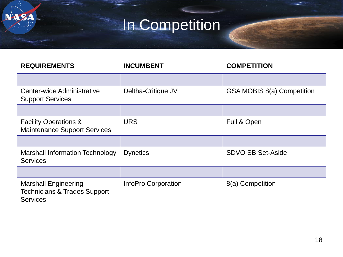# In Competition

**NASA** 

| <b>REQUIREMENTS</b>                                                                       | <b>INCUMBENT</b>    | <b>COMPETITION</b>         |
|-------------------------------------------------------------------------------------------|---------------------|----------------------------|
|                                                                                           |                     |                            |
| Center-wide Administrative<br><b>Support Services</b>                                     | Deltha-Critique JV  | GSA MOBIS 8(a) Competition |
|                                                                                           |                     |                            |
| <b>Facility Operations &amp;</b><br><b>Maintenance Support Services</b>                   | <b>URS</b>          | Full & Open                |
|                                                                                           |                     |                            |
| Marshall Information Technology<br><b>Services</b>                                        | <b>Dynetics</b>     | <b>SDVO SB Set-Aside</b>   |
|                                                                                           |                     |                            |
| <b>Marshall Engineering</b><br><b>Technicians &amp; Trades Support</b><br><b>Services</b> | InfoPro Corporation | 8(a) Competition           |